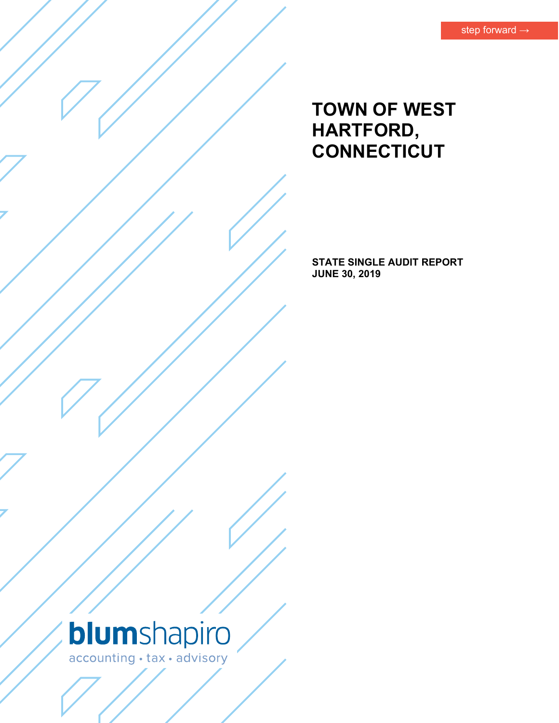# **TOWN OF WEST HARTFORD, CONNECTICUT**

**STATE SINGLE AUDIT REPORT JUNE 30, 2019** 

# blumshapiro accounting · tax · advisory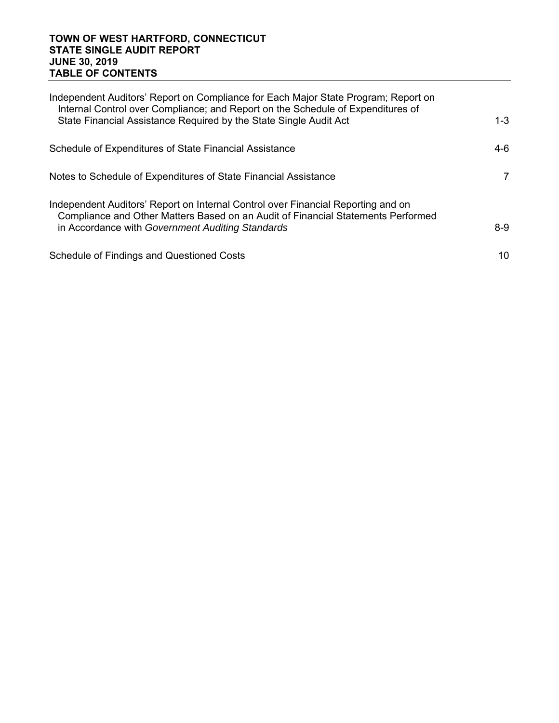#### **TOWN OF WEST HARTFORD, CONNECTICUT STATE SINGLE AUDIT REPORT JUNE 30, 2019 TABLE OF CONTENTS**

| Independent Auditors' Report on Compliance for Each Major State Program; Report on<br>Internal Control over Compliance; and Report on the Schedule of Expenditures of<br>State Financial Assistance Required by the State Single Audit Act | $1 - 3$        |
|--------------------------------------------------------------------------------------------------------------------------------------------------------------------------------------------------------------------------------------------|----------------|
|                                                                                                                                                                                                                                            |                |
| Schedule of Expenditures of State Financial Assistance                                                                                                                                                                                     | 4-6            |
| Notes to Schedule of Expenditures of State Financial Assistance                                                                                                                                                                            | $\overline{7}$ |
| Independent Auditors' Report on Internal Control over Financial Reporting and on<br>Compliance and Other Matters Based on an Audit of Financial Statements Performed<br>in Accordance with Government Auditing Standards                   | 8-9            |
| Schedule of Findings and Questioned Costs                                                                                                                                                                                                  | 10             |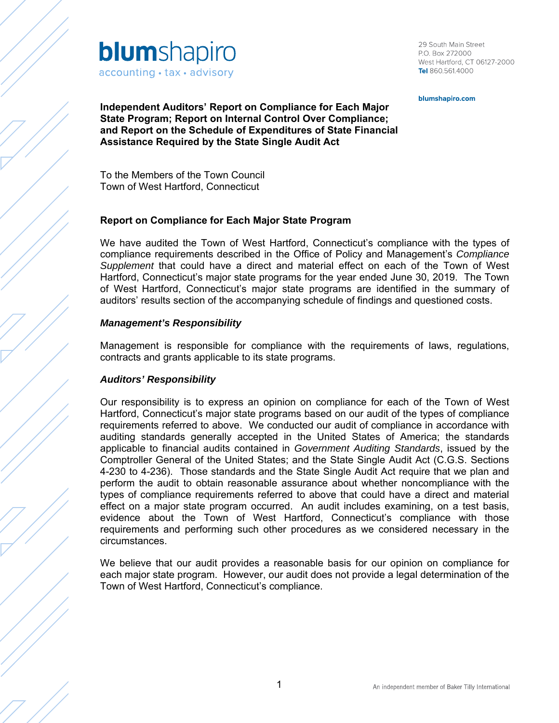

29 South Main Street P.O. Box 272000 West Hartford, CT 06127-2000 Tel 860.561.4000

blumshapiro.com

**Independent Auditors' Report on Compliance for Each Major State Program; Report on Internal Control Over Compliance; and Report on the Schedule of Expenditures of State Financial Assistance Required by the State Single Audit Act** 

To the Members of the Town Council Town of West Hartford, Connecticut

## **Report on Compliance for Each Major State Program**

We have audited the Town of West Hartford, Connecticut's compliance with the types of compliance requirements described in the Office of Policy and Management's *Compliance Supplement* that could have a direct and material effect on each of the Town of West Hartford, Connecticut's major state programs for the year ended June 30, 2019. The Town of West Hartford, Connecticut's major state programs are identified in the summary of auditors' results section of the accompanying schedule of findings and questioned costs.

#### *Management's Responsibility*

Management is responsible for compliance with the requirements of laws, regulations, contracts and grants applicable to its state programs.

#### *Auditors' Responsibility*

Our responsibility is to express an opinion on compliance for each of the Town of West Hartford, Connecticut's major state programs based on our audit of the types of compliance requirements referred to above. We conducted our audit of compliance in accordance with auditing standards generally accepted in the United States of America; the standards applicable to financial audits contained in *Government Auditing Standards*, issued by the Comptroller General of the United States; and the State Single Audit Act (C.G.S. Sections 4-230 to 4-236). Those standards and the State Single Audit Act require that we plan and perform the audit to obtain reasonable assurance about whether noncompliance with the types of compliance requirements referred to above that could have a direct and material effect on a major state program occurred. An audit includes examining, on a test basis, evidence about the Town of West Hartford, Connecticut's compliance with those requirements and performing such other procedures as we considered necessary in the circumstances.

We believe that our audit provides a reasonable basis for our opinion on compliance for each major state program. However, our audit does not provide a legal determination of the Town of West Hartford, Connecticut's compliance.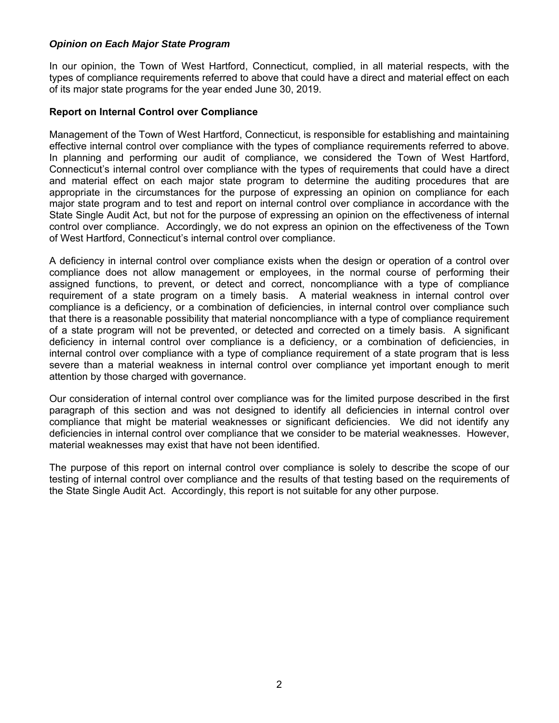## *Opinion on Each Major State Program*

In our opinion, the Town of West Hartford, Connecticut, complied, in all material respects, with the types of compliance requirements referred to above that could have a direct and material effect on each of its major state programs for the year ended June 30, 2019.

#### **Report on Internal Control over Compliance**

Management of the Town of West Hartford, Connecticut, is responsible for establishing and maintaining effective internal control over compliance with the types of compliance requirements referred to above. In planning and performing our audit of compliance, we considered the Town of West Hartford, Connecticut's internal control over compliance with the types of requirements that could have a direct and material effect on each major state program to determine the auditing procedures that are appropriate in the circumstances for the purpose of expressing an opinion on compliance for each major state program and to test and report on internal control over compliance in accordance with the State Single Audit Act, but not for the purpose of expressing an opinion on the effectiveness of internal control over compliance. Accordingly, we do not express an opinion on the effectiveness of the Town of West Hartford, Connecticut's internal control over compliance.

A deficiency in internal control over compliance exists when the design or operation of a control over compliance does not allow management or employees, in the normal course of performing their assigned functions, to prevent, or detect and correct, noncompliance with a type of compliance requirement of a state program on a timely basis. A material weakness in internal control over compliance is a deficiency, or a combination of deficiencies, in internal control over compliance such that there is a reasonable possibility that material noncompliance with a type of compliance requirement of a state program will not be prevented, or detected and corrected on a timely basis. A significant deficiency in internal control over compliance is a deficiency, or a combination of deficiencies, in internal control over compliance with a type of compliance requirement of a state program that is less severe than a material weakness in internal control over compliance yet important enough to merit attention by those charged with governance.

Our consideration of internal control over compliance was for the limited purpose described in the first paragraph of this section and was not designed to identify all deficiencies in internal control over compliance that might be material weaknesses or significant deficiencies. We did not identify any deficiencies in internal control over compliance that we consider to be material weaknesses. However, material weaknesses may exist that have not been identified.

The purpose of this report on internal control over compliance is solely to describe the scope of our testing of internal control over compliance and the results of that testing based on the requirements of the State Single Audit Act. Accordingly, this report is not suitable for any other purpose.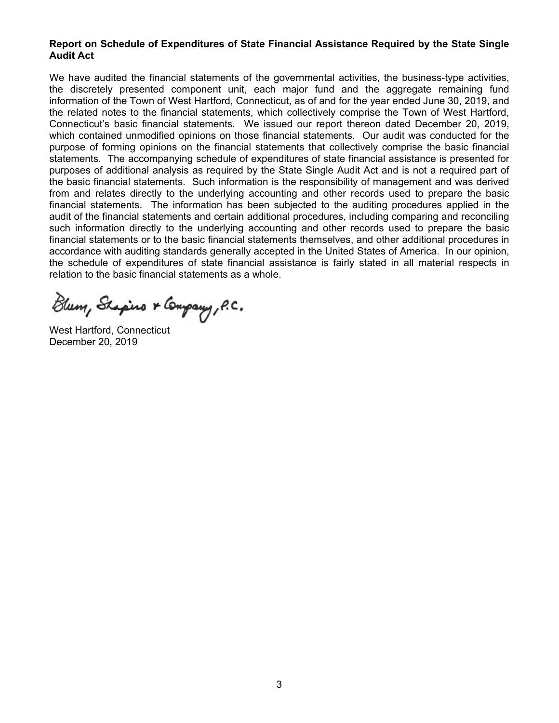#### **Report on Schedule of Expenditures of State Financial Assistance Required by the State Single Audit Act**

We have audited the financial statements of the governmental activities, the business-type activities, the discretely presented component unit, each major fund and the aggregate remaining fund information of the Town of West Hartford, Connecticut, as of and for the year ended June 30, 2019, and the related notes to the financial statements, which collectively comprise the Town of West Hartford, Connecticut's basic financial statements. We issued our report thereon dated December 20, 2019, which contained unmodified opinions on those financial statements. Our audit was conducted for the purpose of forming opinions on the financial statements that collectively comprise the basic financial statements. The accompanying schedule of expenditures of state financial assistance is presented for purposes of additional analysis as required by the State Single Audit Act and is not a required part of the basic financial statements. Such information is the responsibility of management and was derived from and relates directly to the underlying accounting and other records used to prepare the basic financial statements. The information has been subjected to the auditing procedures applied in the audit of the financial statements and certain additional procedures, including comparing and reconciling such information directly to the underlying accounting and other records used to prepare the basic financial statements or to the basic financial statements themselves, and other additional procedures in accordance with auditing standards generally accepted in the United States of America. In our opinion, the schedule of expenditures of state financial assistance is fairly stated in all material respects in relation to the basic financial statements as a whole.

Blum, Shapino & Company, P.C.

West Hartford, Connecticut December 20, 2019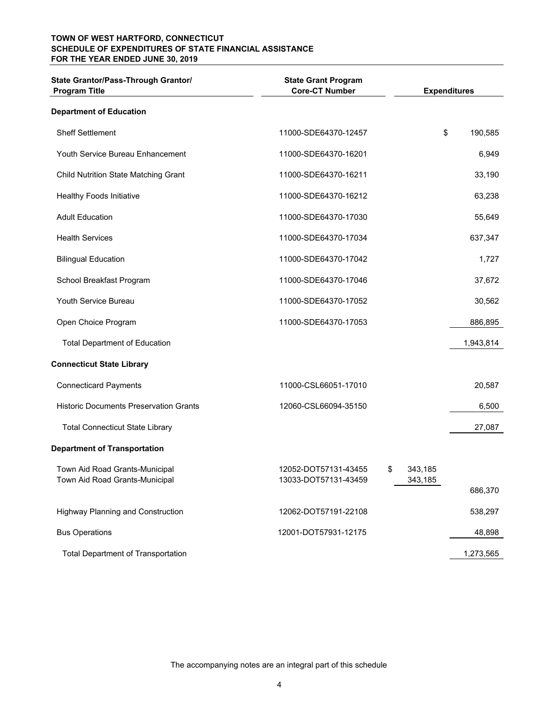#### **TOWN OF WEST HARTFORD, CONNECTICUT SCHEDULE OF EXPENDITURES OF STATE FINANCIAL ASSISTANCE FOR THE YEAR ENDED JUNE 30, 2019**

| State Grantor/Pass-Through Grantor/<br><b>Program Title</b>      | <b>State Grant Program</b><br><b>Core-CT Number</b> |                          | <b>Expenditures</b> |
|------------------------------------------------------------------|-----------------------------------------------------|--------------------------|---------------------|
| <b>Department of Education</b>                                   |                                                     |                          |                     |
| <b>Sheff Settlement</b>                                          | 11000-SDE64370-12457                                | \$                       | 190,585             |
| Youth Service Bureau Enhancement                                 | 11000-SDE64370-16201                                |                          | 6,949               |
| <b>Child Nutrition State Matching Grant</b>                      | 11000-SDE64370-16211                                |                          | 33,190              |
| <b>Healthy Foods Initiative</b>                                  | 11000-SDE64370-16212                                |                          | 63,238              |
| <b>Adult Education</b>                                           | 11000-SDE64370-17030                                |                          | 55,649              |
| <b>Health Services</b>                                           | 11000-SDE64370-17034                                |                          | 637,347             |
| <b>Bilingual Education</b>                                       | 11000-SDE64370-17042                                |                          | 1,727               |
| School Breakfast Program                                         | 11000-SDE64370-17046                                |                          | 37,672              |
| Youth Service Bureau                                             | 11000-SDE64370-17052                                |                          | 30,562              |
| Open Choice Program                                              | 11000-SDE64370-17053                                |                          | 886,895             |
| <b>Total Department of Education</b>                             |                                                     |                          | 1,943,814           |
| <b>Connecticut State Library</b>                                 |                                                     |                          |                     |
| <b>Connecticard Payments</b>                                     | 11000-CSL66051-17010                                |                          | 20,587              |
| <b>Historic Documents Preservation Grants</b>                    | 12060-CSL66094-35150                                |                          | 6,500               |
| <b>Total Connecticut State Library</b>                           |                                                     |                          | 27,087              |
| <b>Department of Transportation</b>                              |                                                     |                          |                     |
| Town Aid Road Grants-Municipal<br>Town Aid Road Grants-Municipal | 12052-DOT57131-43455<br>13033-DOT57131-43459        | \$<br>343,185<br>343,185 | 686,370             |
| <b>Highway Planning and Construction</b>                         | 12062-DOT57191-22108                                |                          | 538,297             |
| <b>Bus Operations</b>                                            | 12001-DOT57931-12175                                |                          | 48,898              |
| <b>Total Department of Transportation</b>                        |                                                     |                          | 1,273,565           |

The accompanying notes are an integral part of this schedule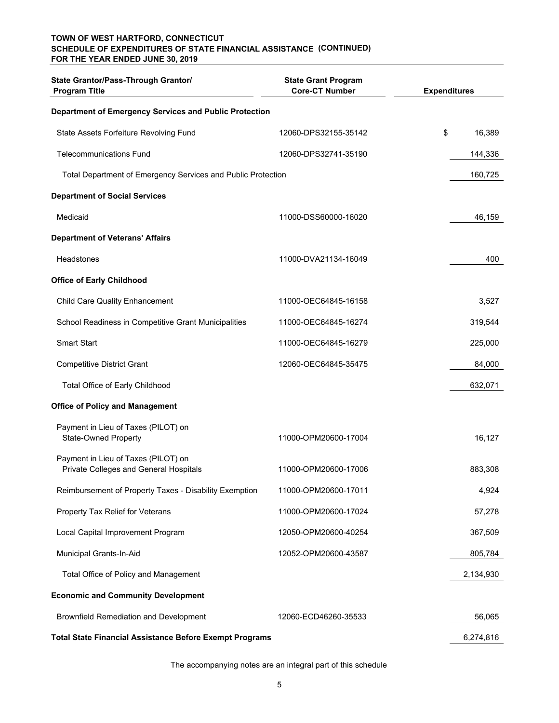#### **(CONTINUED) SCHEDULE OF EXPENDITURES OF STATE FINANCIAL ASSISTANCE TOWN OF WEST HARTFORD, CONNECTICUT FOR THE YEAR ENDED JUNE 30, 2019**

| State Grantor/Pass-Through Grantor/<br><b>Program Title</b>                   | <b>State Grant Program</b><br><b>Core-CT Number</b> | <b>Expenditures</b> |
|-------------------------------------------------------------------------------|-----------------------------------------------------|---------------------|
| Department of Emergency Services and Public Protection                        |                                                     |                     |
| State Assets Forfeiture Revolving Fund                                        | 12060-DPS32155-35142                                | \$<br>16,389        |
| <b>Telecommunications Fund</b>                                                | 12060-DPS32741-35190                                | 144,336             |
| Total Department of Emergency Services and Public Protection                  |                                                     | 160,725             |
| <b>Department of Social Services</b>                                          |                                                     |                     |
| Medicaid                                                                      | 11000-DSS60000-16020                                | 46,159              |
| <b>Department of Veterans' Affairs</b>                                        |                                                     |                     |
| <b>Headstones</b>                                                             | 11000-DVA21134-16049                                | 400                 |
| <b>Office of Early Childhood</b>                                              |                                                     |                     |
| <b>Child Care Quality Enhancement</b>                                         | 11000-OEC64845-16158                                | 3,527               |
| School Readiness in Competitive Grant Municipalities                          | 11000-OEC64845-16274                                | 319,544             |
| <b>Smart Start</b>                                                            | 11000-OEC64845-16279                                | 225,000             |
| <b>Competitive District Grant</b>                                             | 12060-OEC64845-35475                                | 84,000              |
| Total Office of Early Childhood                                               |                                                     | 632,071             |
| <b>Office of Policy and Management</b>                                        |                                                     |                     |
| Payment in Lieu of Taxes (PILOT) on<br><b>State-Owned Property</b>            | 11000-OPM20600-17004                                | 16,127              |
| Payment in Lieu of Taxes (PILOT) on<br>Private Colleges and General Hospitals | 11000-OPM20600-17006                                | 883,308             |
| Reimbursement of Property Taxes - Disability Exemption                        | 11000-OPM20600-17011                                | 4,924               |
| Property Tax Relief for Veterans                                              | 11000-OPM20600-17024                                | 57,278              |
| Local Capital Improvement Program                                             | 12050-OPM20600-40254                                | 367,509             |
| Municipal Grants-In-Aid                                                       | 12052-OPM20600-43587                                | 805,784             |
| Total Office of Policy and Management                                         |                                                     | 2,134,930           |
| <b>Economic and Community Development</b>                                     |                                                     |                     |
| <b>Brownfield Remediation and Development</b>                                 | 12060-ECD46260-35533                                | 56,065              |
| <b>Total State Financial Assistance Before Exempt Programs</b>                |                                                     | 6,274,816           |

The accompanying notes are an integral part of this schedule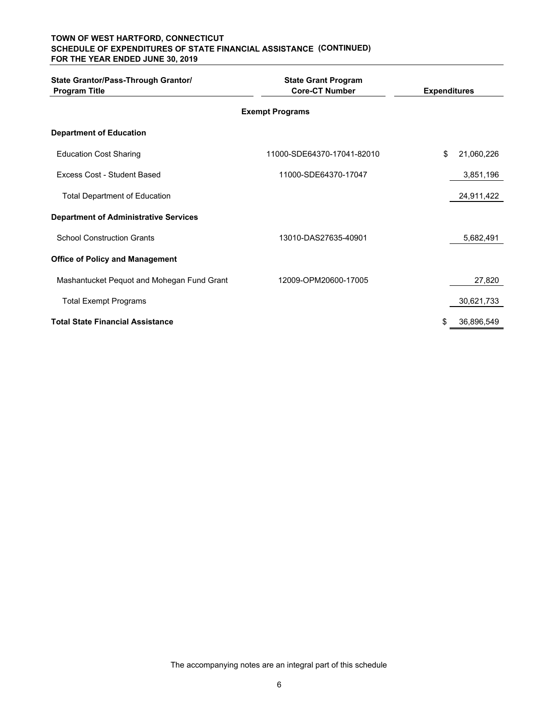#### **(CONTINUED) SCHEDULE OF EXPENDITURES OF STATE FINANCIAL ASSISTANCE TOWN OF WEST HARTFORD, CONNECTICUT FOR THE YEAR ENDED JUNE 30, 2019**

| State Grantor/Pass-Through Grantor/<br><b>Program Title</b> | <b>State Grant Program</b><br><b>Core-CT Number</b> | <b>Expenditures</b> |            |  |
|-------------------------------------------------------------|-----------------------------------------------------|---------------------|------------|--|
| <b>Exempt Programs</b>                                      |                                                     |                     |            |  |
| <b>Department of Education</b>                              |                                                     |                     |            |  |
| <b>Education Cost Sharing</b>                               | 11000-SDE64370-17041-82010                          | \$                  | 21,060,226 |  |
| Excess Cost - Student Based                                 | 11000-SDE64370-17047                                |                     | 3,851,196  |  |
| <b>Total Department of Education</b>                        |                                                     |                     | 24,911,422 |  |
| <b>Department of Administrative Services</b>                |                                                     |                     |            |  |
| <b>School Construction Grants</b>                           | 13010-DAS27635-40901                                |                     | 5,682,491  |  |
| <b>Office of Policy and Management</b>                      |                                                     |                     |            |  |
| Mashantucket Pequot and Mohegan Fund Grant                  | 12009-OPM20600-17005                                |                     | 27,820     |  |
| <b>Total Exempt Programs</b>                                |                                                     |                     | 30,621,733 |  |
| <b>Total State Financial Assistance</b>                     |                                                     |                     | 36,896,549 |  |

The accompanying notes are an integral part of this schedule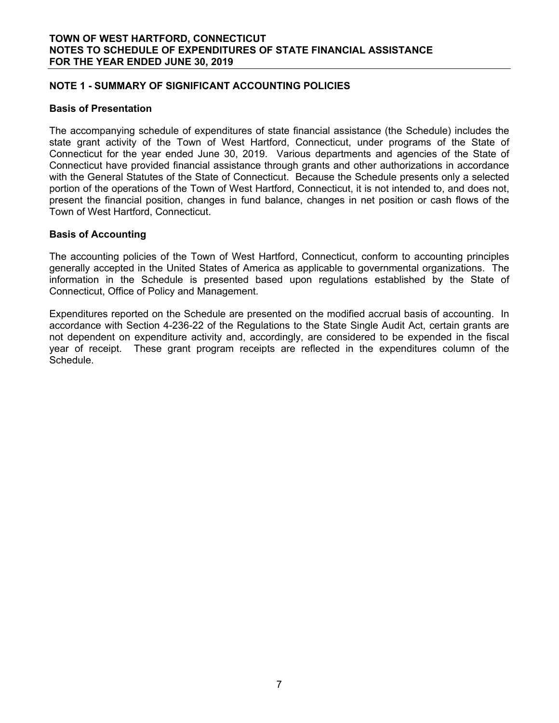### **NOTE 1 - SUMMARY OF SIGNIFICANT ACCOUNTING POLICIES**

#### **Basis of Presentation**

The accompanying schedule of expenditures of state financial assistance (the Schedule) includes the state grant activity of the Town of West Hartford, Connecticut, under programs of the State of Connecticut for the year ended June 30, 2019. Various departments and agencies of the State of Connecticut have provided financial assistance through grants and other authorizations in accordance with the General Statutes of the State of Connecticut. Because the Schedule presents only a selected portion of the operations of the Town of West Hartford, Connecticut, it is not intended to, and does not, present the financial position, changes in fund balance, changes in net position or cash flows of the Town of West Hartford, Connecticut.

#### **Basis of Accounting**

The accounting policies of the Town of West Hartford, Connecticut, conform to accounting principles generally accepted in the United States of America as applicable to governmental organizations. The information in the Schedule is presented based upon regulations established by the State of Connecticut, Office of Policy and Management.

Expenditures reported on the Schedule are presented on the modified accrual basis of accounting. In accordance with Section 4-236-22 of the Regulations to the State Single Audit Act, certain grants are not dependent on expenditure activity and, accordingly, are considered to be expended in the fiscal year of receipt. These grant program receipts are reflected in the expenditures column of the Schedule.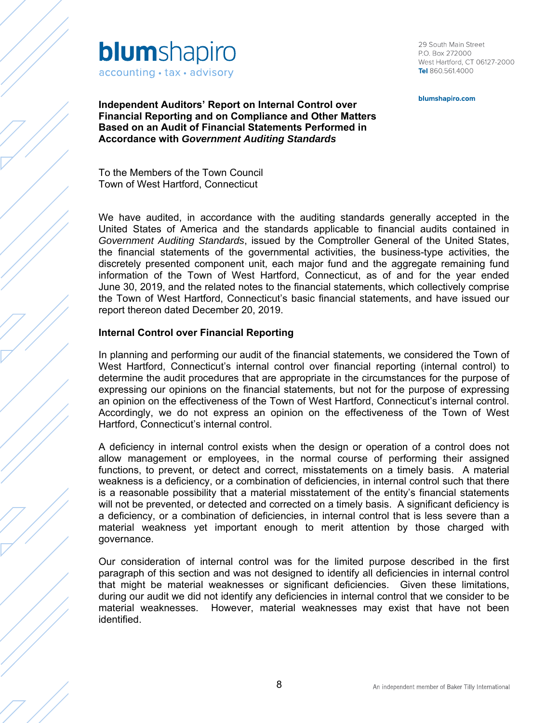

29 South Main Street P.O. Box 272000 West Hartford, CT 06127-2000 Tel 860.561.4000

blumshapiro.com

**Independent Auditors' Report on Internal Control over Financial Reporting and on Compliance and Other Matters Based on an Audit of Financial Statements Performed in Accordance with** *Government Auditing Standards* 

To the Members of the Town Council Town of West Hartford, Connecticut

We have audited, in accordance with the auditing standards generally accepted in the United States of America and the standards applicable to financial audits contained in *Government Auditing Standards*, issued by the Comptroller General of the United States, the financial statements of the governmental activities, the business-type activities, the discretely presented component unit, each major fund and the aggregate remaining fund information of the Town of West Hartford, Connecticut, as of and for the year ended June 30, 2019, and the related notes to the financial statements, which collectively comprise the Town of West Hartford, Connecticut's basic financial statements, and have issued our report thereon dated December 20, 2019.

#### **Internal Control over Financial Reporting**

In planning and performing our audit of the financial statements, we considered the Town of West Hartford, Connecticut's internal control over financial reporting (internal control) to determine the audit procedures that are appropriate in the circumstances for the purpose of expressing our opinions on the financial statements, but not for the purpose of expressing an opinion on the effectiveness of the Town of West Hartford, Connecticut's internal control. Accordingly, we do not express an opinion on the effectiveness of the Town of West Hartford, Connecticut's internal control.

A deficiency in internal control exists when the design or operation of a control does not allow management or employees, in the normal course of performing their assigned functions, to prevent, or detect and correct, misstatements on a timely basis. A material weakness is a deficiency, or a combination of deficiencies, in internal control such that there is a reasonable possibility that a material misstatement of the entity's financial statements will not be prevented, or detected and corrected on a timely basis. A significant deficiency is a deficiency, or a combination of deficiencies, in internal control that is less severe than a material weakness yet important enough to merit attention by those charged with governance.

Our consideration of internal control was for the limited purpose described in the first paragraph of this section and was not designed to identify all deficiencies in internal control that might be material weaknesses or significant deficiencies. Given these limitations, during our audit we did not identify any deficiencies in internal control that we consider to be material weaknesses. However, material weaknesses may exist that have not been identified.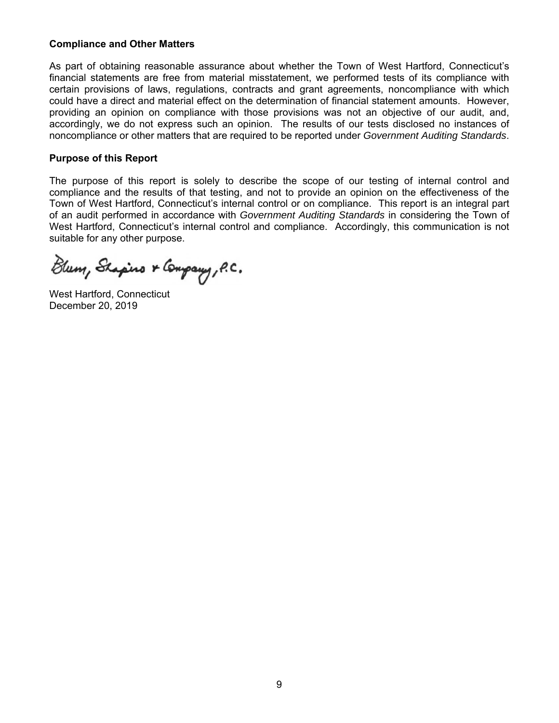#### **Compliance and Other Matters**

As part of obtaining reasonable assurance about whether the Town of West Hartford, Connecticut's financial statements are free from material misstatement, we performed tests of its compliance with certain provisions of laws, regulations, contracts and grant agreements, noncompliance with which could have a direct and material effect on the determination of financial statement amounts. However, providing an opinion on compliance with those provisions was not an objective of our audit, and, accordingly, we do not express such an opinion. The results of our tests disclosed no instances of noncompliance or other matters that are required to be reported under *Government Auditing Standards*.

#### **Purpose of this Report**

The purpose of this report is solely to describe the scope of our testing of internal control and compliance and the results of that testing, and not to provide an opinion on the effectiveness of the Town of West Hartford, Connecticut's internal control or on compliance. This report is an integral part of an audit performed in accordance with *Government Auditing Standards* in considering the Town of West Hartford, Connecticut's internal control and compliance. Accordingly, this communication is not suitable for any other purpose.

Blum, Shapino & Company, P.C.

West Hartford, Connecticut December 20, 2019